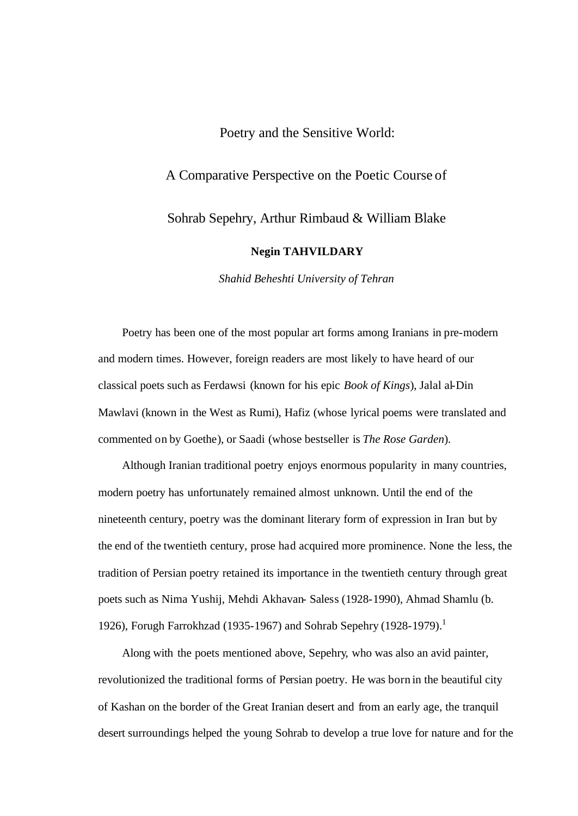## Poetry and the Sensitive World:

# A Comparative Perspective on the Poetic Course of

## Sohrab Sepehry, Arthur Rimbaud & William Blake

#### **Negin TAHVILDARY**

*Shahid Beheshti University of Tehran*

Poetry has been one of the most popular art forms among Iranians in pre-modern and modern times. However, foreign readers are most likely to have heard of our classical poets such as Ferdawsi (known for his epic *Book of Kings*), Jalal al-Din Mawlavi (known in the West as Rumi), Hafiz (whose lyrical poems were translated and commented on by Goethe), or Saadi (whose bestseller is *The Rose Garden*).

Although Iranian traditional poetry enjoys enormous popularity in many countries, modern poetry has unfortunately remained almost unknown. Until the end of the nineteenth century, poetry was the dominant literary form of expression in Iran but by the end of the twentieth century, prose had acquired more prominence. None the less, the tradition of Persian poetry retained its importance in the twentieth century through great poets such as Nima Yushij, Mehdi Akhavan- Saless (1928-1990), Ahmad Shamlu (b. 1926), Forugh Farrokhzad (1935-1967) and Sohrab Sepehry (1928-1979). 1

Along with the poets mentioned above, Sepehry, who was also an avid painter, revolutionized the traditional forms of Persian poetry. He was born in the beautiful city of Kashan on the border of the Great Iranian desert and from an early age, the tranquil desert surroundings helped the young Sohrab to develop a true love for nature and for the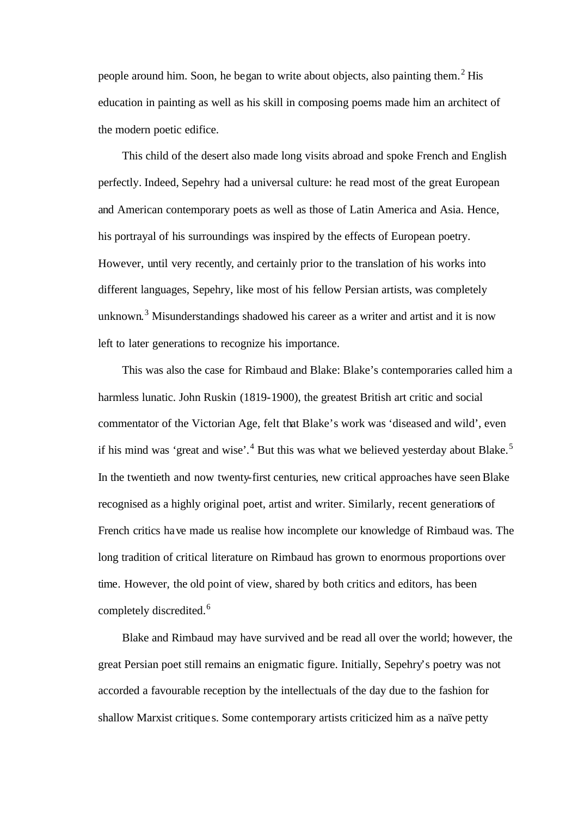people around him. Soon, he began to write about objects, also painting them.<sup>2</sup> His education in painting as well as his skill in composing poems made him an architect of the modern poetic edifice.

This child of the desert also made long visits abroad and spoke French and English perfectly. Indeed, Sepehry had a universal culture: he read most of the great European and American contemporary poets as well as those of Latin America and Asia. Hence, his portrayal of his surroundings was inspired by the effects of European poetry. However, until very recently, and certainly prior to the translation of his works into different languages, Sepehry, like most of his fellow Persian artists, was completely unknown. <sup>3</sup> Misunderstandings shadowed his career as a writer and artist and it is now left to later generations to recognize his importance.

This was also the case for Rimbaud and Blake: Blake's contemporaries called him a harmless lunatic. John Ruskin (1819-1900), the greatest British art critic and social commentator of the Victorian Age, felt that Blake's work was 'diseased and wild', even if his mind was 'great and wise'.<sup>4</sup> But this was what we believed yesterday about Blake.<sup>5</sup> In the twentieth and now twenty-first centuries, new critical approaches have seen Blake recognised as a highly original poet, artist and writer. Similarly, recent generations of French critics have made us realise how incomplete our knowledge of Rimbaud was. The long tradition of critical literature on Rimbaud has grown to enormous proportions over time. However, the old point of view, shared by both critics and editors, has been completely discredited.<sup>6</sup>

Blake and Rimbaud may have survived and be read all over the world; however, the great Persian poet still remains an enigmatic figure. Initially, Sepehry's poetry was not accorded a favourable reception by the intellectuals of the day due to the fashion for shallow Marxist critique s. Some contemporary artists criticized him as a naïve petty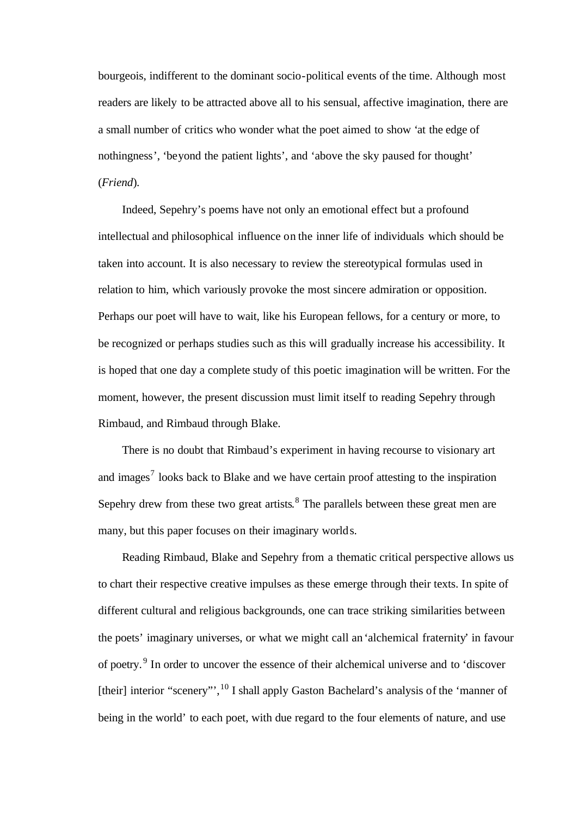bourgeois, indifferent to the dominant socio-political events of the time. Although most readers are likely to be attracted above all to his sensual, affective imagination, there are a small number of critics who wonder what the poet aimed to show 'at the edge of nothingness', 'beyond the patient lights', and 'above the sky paused for thought' (*Friend*).

Indeed, Sepehry's poems have not only an emotional effect but a profound intellectual and philosophical influence on the inner life of individuals which should be taken into account. It is also necessary to review the stereotypical formulas used in relation to him, which variously provoke the most sincere admiration or opposition. Perhaps our poet will have to wait, like his European fellows, for a century or more, to be recognized or perhaps studies such as this will gradually increase his accessibility. It is hoped that one day a complete study of this poetic imagination will be written. For the moment, however, the present discussion must limit itself to reading Sepehry through Rimbaud, and Rimbaud through Blake.

There is no doubt that Rimbaud's experiment in having recourse to visionary art and images<sup>7</sup> looks back to Blake and we have certain proof attesting to the inspiration Sepehry drew from these two great artists. $<sup>8</sup>$  The parallels between these great men are</sup> many, but this paper focuses on their imaginary worlds.

Reading Rimbaud, Blake and Sepehry from a thematic critical perspective allows us to chart their respective creative impulses as these emerge through their texts. In spite of different cultural and religious backgrounds, one can trace striking similarities between the poets' imaginary universes, or what we might call an 'alchemical fraternity' in favour of poetry.<sup>9</sup> In order to uncover the essence of their alchemical universe and to 'discover [their] interior "scenery"',<sup>10</sup> I shall apply Gaston Bachelard's analysis of the 'manner of being in the world' to each poet, with due regard to the four elements of nature, and use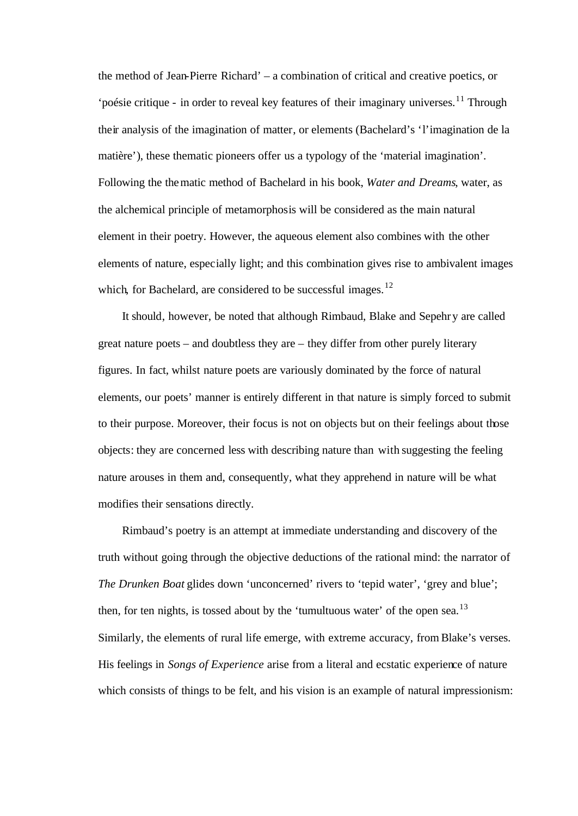the method of Jean-Pierre Richard' – a combination of critical and creative poetics, or 'poésie critique - in order to reveal key features of their imaginary universes.<sup>11</sup> Through their analysis of the imagination of matter, or elements (Bachelard's 'l'imagination de la matière'), these thematic pioneers offer us a typology of the 'material imagination'. Following the thematic method of Bachelard in his book, *Water and Dreams*, water, as the alchemical principle of metamorphosis will be considered as the main natural element in their poetry. However, the aqueous element also combines with the other elements of nature, especially light; and this combination gives rise to ambivalent images which, for Bachelard, are considered to be successful images.<sup>12</sup>

It should, however, be noted that although Rimbaud, Blake and Sepehry are called great nature poets – and doubtless they are – they differ from other purely literary figures. In fact, whilst nature poets are variously dominated by the force of natural elements, our poets' manner is entirely different in that nature is simply forced to submit to their purpose. Moreover, their focus is not on objects but on their feelings about those objects: they are concerned less with describing nature than with suggesting the feeling nature arouses in them and, consequently, what they apprehend in nature will be what modifies their sensations directly.

Rimbaud's poetry is an attempt at immediate understanding and discovery of the truth without going through the objective deductions of the rational mind: the narrator of *The Drunken Boat* glides down 'unconcerned' rivers to 'tepid water', 'grey and blue'; then, for ten nights, is tossed about by the 'tumultuous water' of the open sea.<sup>13</sup> Similarly, the elements of rural life emerge, with extreme accuracy, from Blake's verses. His feelings in *Songs of Experience* arise from a literal and ecstatic experience of nature which consists of things to be felt, and his vision is an example of natural impressionism: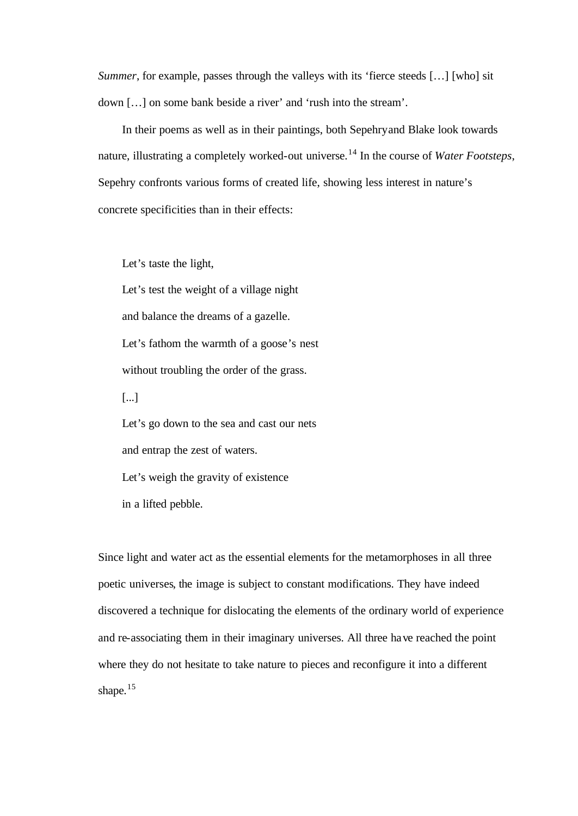*Summer*, for example, passes through the valleys with its 'fierce steeds [...] [who] sit down […] on some bank beside a river' and 'rush into the stream'.

In their poems as well as in their paintings, both Sepehryand Blake look towards nature, illustrating a completely worked-out universe.<sup>14</sup> In the course of *Water Footsteps*, Sepehry confronts various forms of created life, showing less interest in nature's concrete specificities than in their effects:

Let's taste the light,

Let's test the weight of a village night and balance the dreams of a gazelle. Let's fathom the warmth of a goose's nest without troubling the order of the grass.

[...]

Let's go down to the sea and cast our nets and entrap the zest of waters. Let's weigh the gravity of existence in a lifted pebble.

Since light and water act as the essential elements for the metamorphoses in all three poetic universes, the image is subject to constant modifications. They have indeed discovered a technique for dislocating the elements of the ordinary world of experience and re-associating them in their imaginary universes. All three have reached the point where they do not hesitate to take nature to pieces and reconfigure it into a different shape.<sup>15</sup>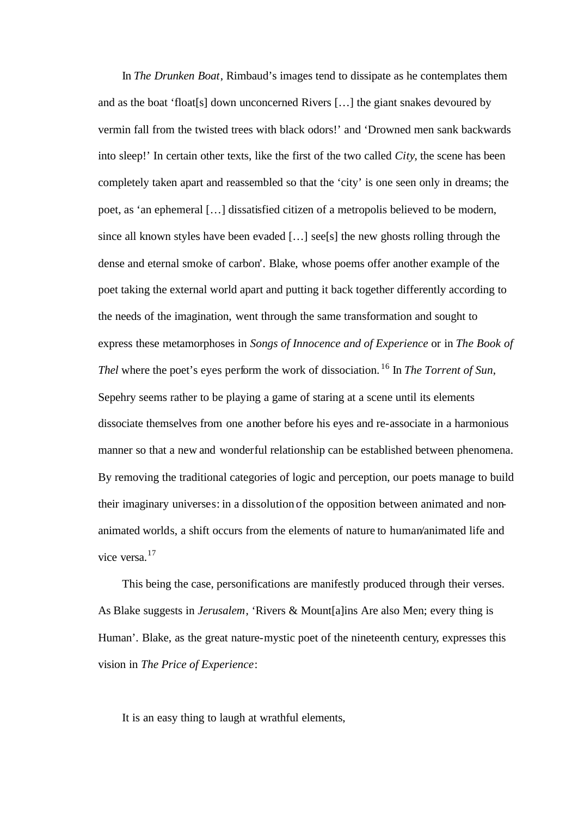In *The Drunken Boat*, Rimbaud's images tend to dissipate as he contemplates them and as the boat 'float[s] down unconcerned Rivers […] the giant snakes devoured by vermin fall from the twisted trees with black odors!' and 'Drowned men sank backwards into sleep!' In certain other texts, like the first of the two called *City*, the scene has been completely taken apart and reassembled so that the 'city' is one seen only in dreams; the poet, as 'an ephemeral […] dissatisfied citizen of a metropolis believed to be modern, since all known styles have been evaded […] see[s] the new ghosts rolling through the dense and eternal smoke of carbon'. Blake, whose poems offer another example of the poet taking the external world apart and putting it back together differently according to the needs of the imagination, went through the same transformation and sought to express these metamorphoses in *Songs of Innocence and of Experience* or in *The Book of Thel* where the poet's eyes perform the work of dissociation.<sup>16</sup> In *The Torrent of Sun*, Sepehry seems rather to be playing a game of staring at a scene until its elements dissociate themselves from one another before his eyes and re-associate in a harmonious manner so that a new and wonderful relationship can be established between phenomena. By removing the traditional categories of logic and perception, our poets manage to build their imaginary universes: in a dissolution of the opposition between animated and nonanimated worlds, a shift occurs from the elements of nature to human/animated life and vice versa.<sup>17</sup>

This being the case, personifications are manifestly produced through their verses. As Blake suggests in *Jerusalem*, 'Rivers & Mount[a]ins Are also Men; every thing is Human'. Blake, as the great nature-mystic poet of the nineteenth century, expresses this vision in *The Price of Experience*:

It is an easy thing to laugh at wrathful elements,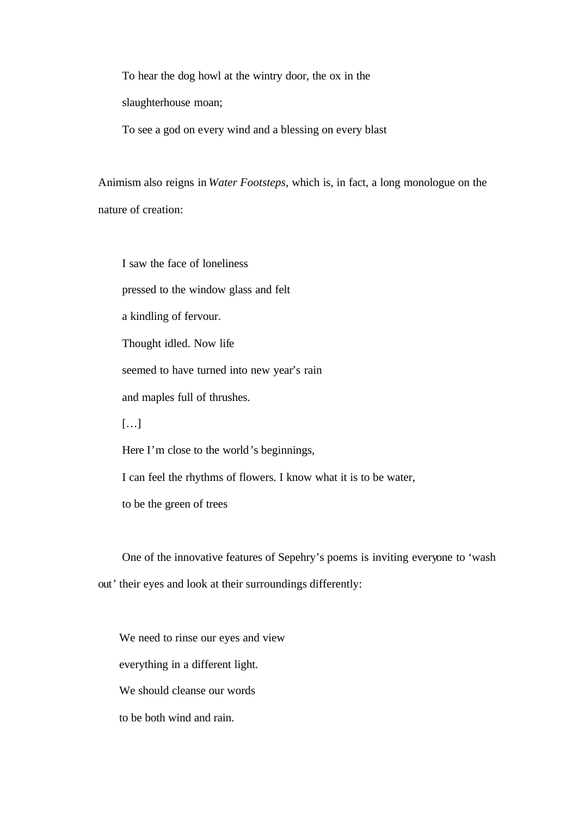To hear the dog howl at the wintry door, the ox in the

slaughterhouse moan;

To see a god on every wind and a blessing on every blast

Animism also reigns in *Water Footsteps*, which is, in fact, a long monologue on the nature of creation:

I saw the face of loneliness pressed to the window glass and felt a kindling of fervour. Thought idled. Now life seemed to have turned into new year's rain and maples full of thrushes.  $[...]$ Here I'm close to the world's beginnings,

I can feel the rhythms of flowers. I know what it is to be water,

to be the green of trees

One of the innovative features of Sepehry's poems is inviting everyone to 'wash out' their eyes and look at their surroundings differently:

We need to rinse our eyes and view everything in a different light. We should cleanse our words

to be both wind and rain.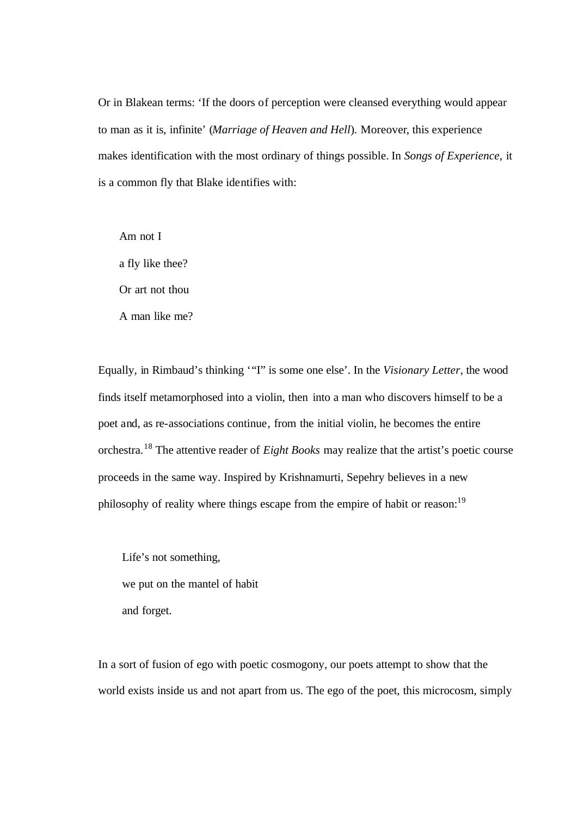Or in Blakean terms: 'If the doors of perception were cleansed everything would appear to man as it is, infinite' (*Marriage of Heaven and Hell*). Moreover, this experience makes identification with the most ordinary of things possible. In *Songs of Experience*, it is a common fly that Blake identifies with:

Am not I a fly like thee? Or art not thou A man like me?

Equally, in Rimbaud's thinking '"I" is some one else'. In the *Visionary Letter*, the wood finds itself metamorphosed into a violin, then into a man who discovers himself to be a poet and, as re-associations continue, from the initial violin, he becomes the entire orchestra.<sup>18</sup> The attentive reader of *Eight Books* may realize that the artist's poetic course proceeds in the same way. Inspired by Krishnamurti, Sepehry believes in a new philosophy of reality where things escape from the empire of habit or reason:<sup>19</sup>

Life's not something, we put on the mantel of habit and forget.

In a sort of fusion of ego with poetic cosmogony, our poets attempt to show that the world exists inside us and not apart from us. The ego of the poet, this microcosm, simply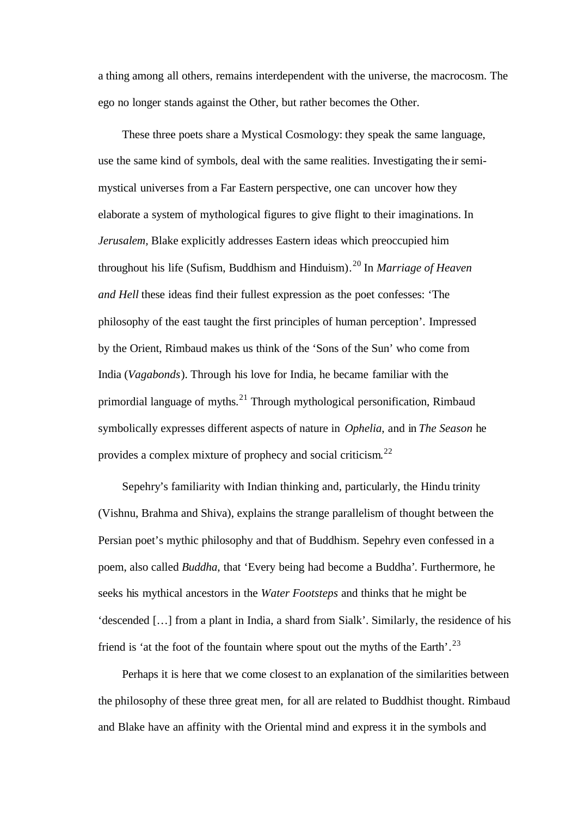a thing among all others, remains interdependent with the universe, the macrocosm. The ego no longer stands against the Other, but rather becomes the Other.

These three poets share a Mystical Cosmology: they speak the same language, use the same kind of symbols, deal with the same realities. Investigating the ir semimystical universes from a Far Eastern perspective, one can uncover how they elaborate a system of mythological figures to give flight to their imaginations. In *Jerusalem,* Blake explicitly addresses Eastern ideas which preoccupied him throughout his life (Sufism, Buddhism and Hinduism). <sup>20</sup> In *Marriage of Heaven and Hell* these ideas find their fullest expression as the poet confesses: 'The philosophy of the east taught the first principles of human perception'. Impressed by the Orient, Rimbaud makes us think of the 'Sons of the Sun' who come from India (*Vagabonds*). Through his love for India, he became familiar with the primordial language of myths.<sup>21</sup> Through mythological personification, Rimbaud symbolically expresses different aspects of nature in *Ophelia*, and in *The Season* he provides a complex mixture of prophecy and social criticism. $^{22}$ 

Sepehry's familiarity with Indian thinking and, particularly, the Hindu trinity (Vishnu, Brahma and Shiva), explains the strange parallelism of thought between the Persian poet's mythic philosophy and that of Buddhism. Sepehry even confessed in a poem, also called *Buddha*, that 'Every being had become a Buddha'. Furthermore, he seeks his mythical ancestors in the *Water Footsteps* and thinks that he might be 'descended […] from a plant in India, a shard from Sialk'. Similarly, the residence of his friend is 'at the foot of the fountain where spout out the myths of the Earth'.<sup>23</sup>

Perhaps it is here that we come closest to an explanation of the similarities between the philosophy of these three great men, for all are related to Buddhist thought. Rimbaud and Blake have an affinity with the Oriental mind and express it in the symbols and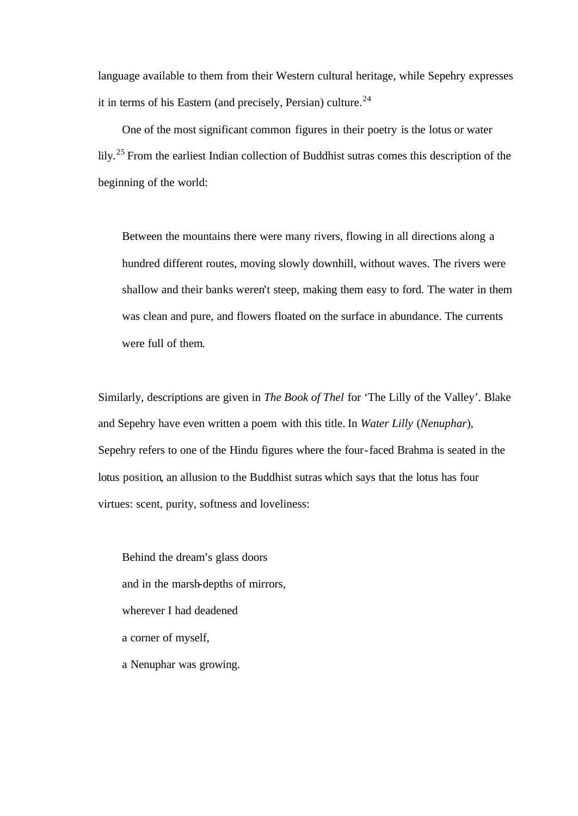language available to them from their Western cultural heritage, while Sepehry expresses it in terms of his Eastern (and precisely, Persian) culture.<sup>24</sup>

One of the most significant common figures in their poetry is the lotus or water lily.<sup>25</sup> From the earliest Indian collection of Buddhist sutras comes this description of the beginning of the world:

Between the mountains there were many rivers, flowing in all directions along a hundred different routes, moving slowly downhill, without waves. The rivers were shallow and their banks weren't steep, making them easy to ford. The water in them was clean and pure, and flowers floated on the surface in abundance. The currents were full of them.

Similarly, descriptions are given in *The Book of Thel* for 'The Lilly of the Valley'. Blake and Sepehry have even written a poem with this title. In *Water Lilly* (*Nenuphar*), Sepehry refers to one of the Hindu figures where the four-faced Brahma is seated in the lotus position, an allusion to the Buddhist sutras which says that the lotus has four virtues: scent, purity, softness and loveliness:

Behind the dream's glass doors and in the marsh-depths of mirrors, wherever I had deadened a corner of myself, a Nenuphar was growing.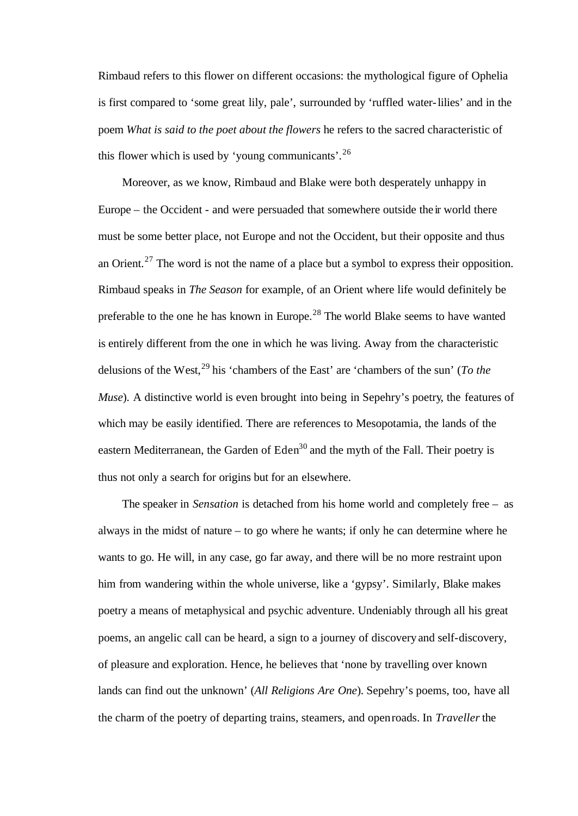Rimbaud refers to this flower on different occasions: the mythological figure of Ophelia is first compared to 'some great lily, pale', surrounded by 'ruffled water-lilies' and in the poem *What is said to the poet about the flowers* he refers to the sacred characteristic of this flower which is used by 'young communicants'.<sup>26</sup>

Moreover, as we know, Rimbaud and Blake were both desperately unhappy in Europe – the Occident - and were persuaded that somewhere outside the ir world there must be some better place, not Europe and not the Occident, but their opposite and thus an Orient.<sup>27</sup> The word is not the name of a place but a symbol to express their opposition. Rimbaud speaks in *The Season* for example, of an Orient where life would definitely be preferable to the one he has known in Europe.<sup>28</sup> The world Blake seems to have wanted is entirely different from the one in which he was living. Away from the characteristic delusions of the West,<sup>29</sup> his 'chambers of the East' are 'chambers of the sun' (*To the Muse*). A distinctive world is even brought into being in Sepehry's poetry, the features of which may be easily identified. There are references to Mesopotamia, the lands of the eastern Mediterranean, the Garden of  $Eden<sup>30</sup>$  and the myth of the Fall. Their poetry is thus not only a search for origins but for an elsewhere.

The speaker in *Sensation* is detached from his home world and completely free – as always in the midst of nature – to go where he wants; if only he can determine where he wants to go. He will, in any case, go far away, and there will be no more restraint upon him from wandering within the whole universe, like a 'gypsy'. Similarly, Blake makes poetry a means of metaphysical and psychic adventure. Undeniably through all his great poems, an angelic call can be heard, a sign to a journey of discovery and self-discovery, of pleasure and exploration. Hence, he believes that 'none by travelling over known lands can find out the unknown' (*All Religions Are One*). Sepehry's poems, too, have all the charm of the poetry of departing trains, steamers, and open roads. In *Traveller* the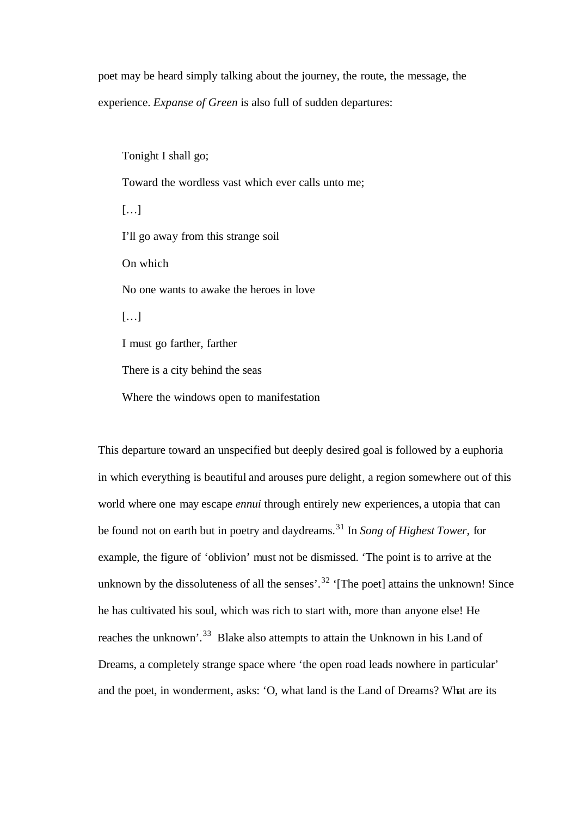poet may be heard simply talking about the journey, the route, the message, the experience. *Expanse of Green* is also full of sudden departures:

Tonight I shall go;

Toward the wordless vast which ever calls unto me;

 $[...]$ 

I'll go away from this strange soil

On which

No one wants to awake the heroes in love

[…]

I must go farther, farther

There is a city behind the seas

Where the windows open to manifestation

This departure toward an unspecified but deeply desired goal is followed by a euphoria in which everything is beautiful and arouses pure delight, a region somewhere out of this world where one may escape *ennui* through entirely new experiences, a utopia that can be found not on earth but in poetry and daydreams.<sup>31</sup> In *Song of Highest Tower*, for example, the figure of 'oblivion' must not be dismissed. 'The point is to arrive at the unknown by the dissoluteness of all the senses'.<sup>32</sup> '[The poet] attains the unknown! Since he has cultivated his soul, which was rich to start with, more than anyone else! He reaches the unknown'.<sup>33</sup> Blake also attempts to attain the Unknown in his Land of Dreams, a completely strange space where 'the open road leads nowhere in particular' and the poet, in wonderment, asks: 'O, what land is the Land of Dreams? What are its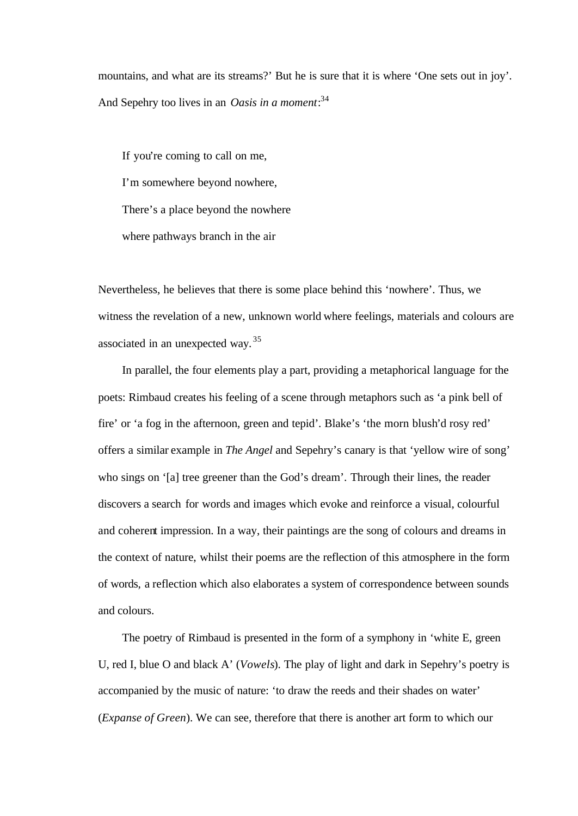mountains, and what are its streams?' But he is sure that it is where 'One sets out in joy'. And Sepehry too lives in an *Oasis in a moment*: 34

If you're coming to call on me, I'm somewhere beyond nowhere, There's a place beyond the nowhere where pathways branch in the air

Nevertheless, he believes that there is some place behind this 'nowhere'. Thus, we witness the revelation of a new, unknown world where feelings, materials and colours are associated in an unexpected way.<sup>35</sup>

In parallel, the four elements play a part, providing a metaphorical language for the poets: Rimbaud creates his feeling of a scene through metaphors such as 'a pink bell of fire' or 'a fog in the afternoon, green and tepid'. Blake's 'the morn blush'd rosy red' offers a similar example in *The Angel* and Sepehry's canary is that 'yellow wire of song' who sings on '[a] tree greener than the God's dream'. Through their lines, the reader discovers a search for words and images which evoke and reinforce a visual, colourful and coherent impression. In a way, their paintings are the song of colours and dreams in the context of nature, whilst their poems are the reflection of this atmosphere in the form of words, a reflection which also elaborates a system of correspondence between sounds and colours.

The poetry of Rimbaud is presented in the form of a symphony in 'white E, green U, red I, blue O and black A' (*Vowels*). The play of light and dark in Sepehry's poetry is accompanied by the music of nature: 'to draw the reeds and their shades on water' (*Expanse of Green*). We can see, therefore that there is another art form to which our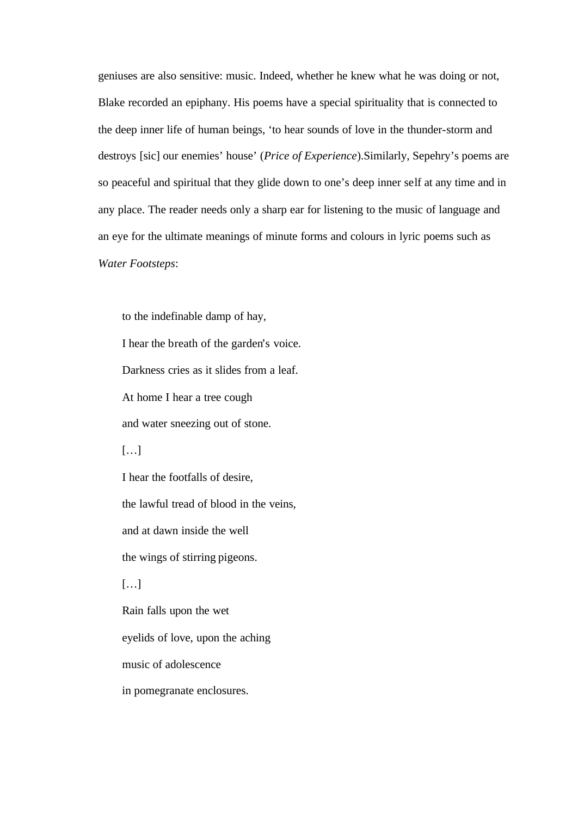geniuses are also sensitive: music. Indeed, whether he knew what he was doing or not, Blake recorded an epiphany. His poems have a special spirituality that is connected to the deep inner life of human beings, 'to hear sounds of love in the thunder-storm and destroys [sic] our enemies' house' (*Price of Experience*).Similarly, Sepehry's poems are so peaceful and spiritual that they glide down to one's deep inner self at any time and in any place. The reader needs only a sharp ear for listening to the music of language and an eye for the ultimate meanings of minute forms and colours in lyric poems such as *Water Footsteps*:

to the indefinable damp of hay, I hear the breath of the garden's voice. Darkness cries as it slides from a leaf. At home I hear a tree cough and water sneezing out of stone.

[…]

I hear the footfalls of desire, the lawful tread of blood in the veins, and at dawn inside the well the wings of stirring pigeons.

 $[\ldots]$ 

Rain falls upon the wet eyelids of love, upon the aching music of adolescence in pomegranate enclosures.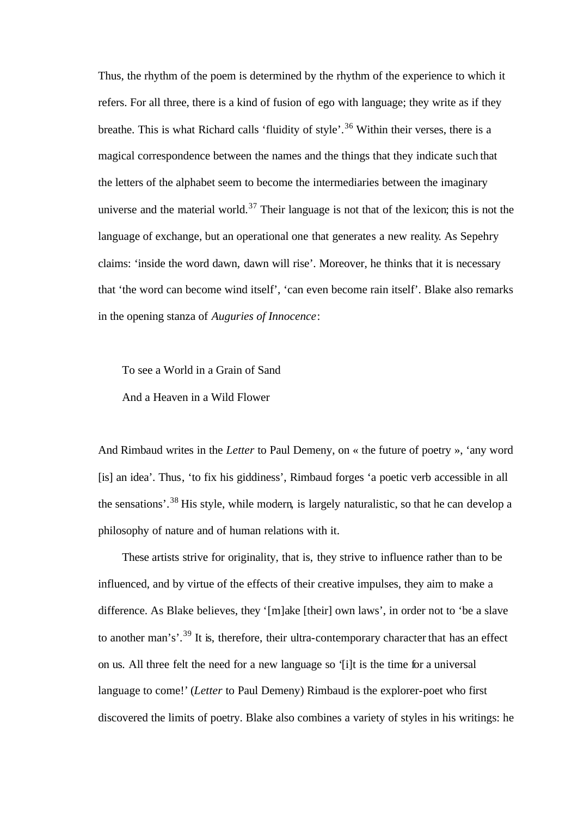Thus, the rhythm of the poem is determined by the rhythm of the experience to which it refers. For all three, there is a kind of fusion of ego with language; they write as if they breathe. This is what Richard calls 'fluidity of style'.<sup>36</sup> Within their verses, there is a magical correspondence between the names and the things that they indicate such that the letters of the alphabet seem to become the intermediaries between the imaginary universe and the material world.<sup>37</sup> Their language is not that of the lexicon; this is not the language of exchange, but an operational one that generates a new reality. As Sepehry claims: 'inside the word dawn, dawn will rise'. Moreover, he thinks that it is necessary that 'the word can become wind itself', 'can even become rain itself'. Blake also remarks in the opening stanza of *Auguries of Innocence*:

To see a World in a Grain of Sand

And a Heaven in a Wild Flower

And Rimbaud writes in the *Letter* to Paul Demeny, on « the future of poetry », 'any word [is] an idea'. Thus, 'to fix his giddiness', Rimbaud forges 'a poetic verb accessible in all the sensations'.<sup>38</sup> His style, while modern, is largely naturalistic, so that he can develop a philosophy of nature and of human relations with it.

These artists strive for originality, that is, they strive to influence rather than to be influenced, and by virtue of the effects of their creative impulses, they aim to make a difference. As Blake believes, they '[m]ake [their] own laws', in order not to 'be a slave to another man's'.<sup>39</sup> It is, therefore, their ultra-contemporary character that has an effect on us. All three felt the need for a new language so '[i]t is the time for a universal language to come!' (*Letter* to Paul Demeny) Rimbaud is the explorer-poet who first discovered the limits of poetry. Blake also combines a variety of styles in his writings: he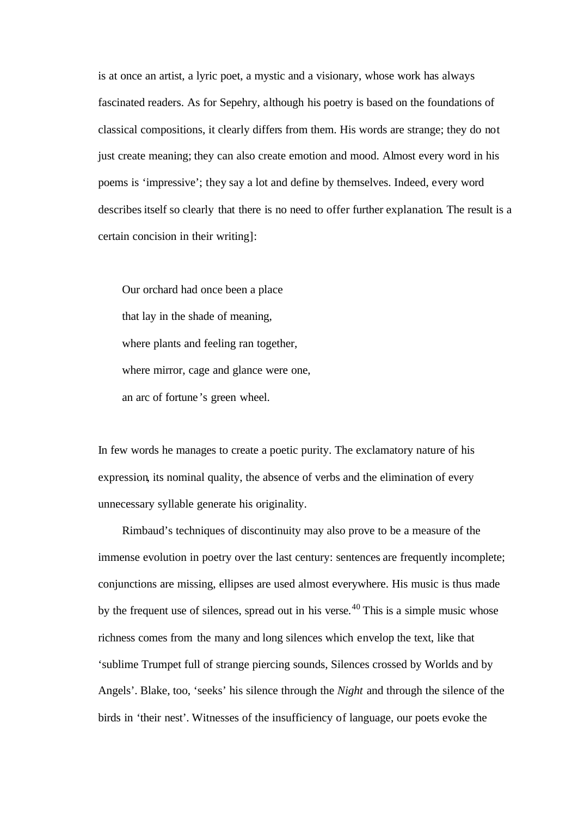is at once an artist, a lyric poet, a mystic and a visionary, whose work has always fascinated readers. As for Sepehry, although his poetry is based on the foundations of classical compositions, it clearly differs from them. His words are strange; they do not just create meaning; they can also create emotion and mood. Almost every word in his poems is 'impressive'; they say a lot and define by themselves. Indeed, every word describes itself so clearly that there is no need to offer further explanation. The result is a certain concision in their writing]:

Our orchard had once been a place that lay in the shade of meaning, where plants and feeling ran together, where mirror, cage and glance were one, an arc of fortune's green wheel.

In few words he manages to create a poetic purity. The exclamatory nature of his expression, its nominal quality, the absence of verbs and the elimination of every unnecessary syllable generate his originality.

Rimbaud's techniques of discontinuity may also prove to be a measure of the immense evolution in poetry over the last century: sentences are frequently incomplete; conjunctions are missing, ellipses are used almost everywhere. His music is thus made by the frequent use of silences, spread out in his verse.<sup>40</sup> This is a simple music whose richness comes from the many and long silences which envelop the text, like that 'sublime Trumpet full of strange piercing sounds, Silences crossed by Worlds and by Angels'. Blake, too, 'seeks' his silence through the *Night* and through the silence of the birds in 'their nest'. Witnesses of the insufficiency of language, our poets evoke the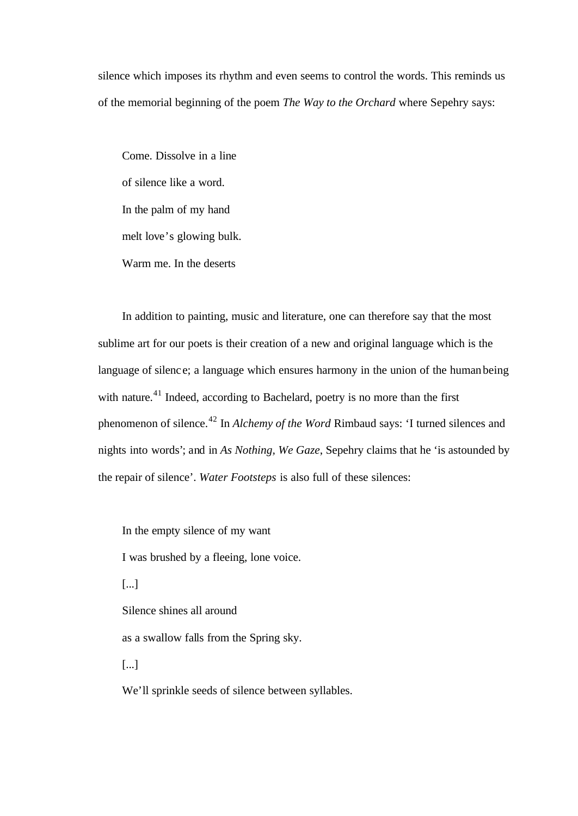silence which imposes its rhythm and even seems to control the words. This reminds us of the memorial beginning of the poem *The Way to the Orchard* where Sepehry says:

Come. Dissolve in a line of silence like a word. In the palm of my hand melt love's glowing bulk. Warm me. In the deserts

In addition to painting, music and literature, one can therefore say that the most sublime art for our poets is their creation of a new and original language which is the language of silence; a language which ensures harmony in the union of the human being with nature.<sup>41</sup> Indeed, according to Bachelard, poetry is no more than the first phenomenon of silence.<sup>42</sup> In *Alchemy of the Word* Rimbaud says: 'I turned silences and nights into words'; and in *As Nothing, We Gaze*, Sepehry claims that he 'is astounded by the repair of silence'. *Water Footsteps* is also full of these silences:

In the empty silence of my want I was brushed by a fleeing, lone voice. [...] Silence shines all around as a swallow falls from the Spring sky.

[...]

We'll sprinkle seeds of silence between syllables.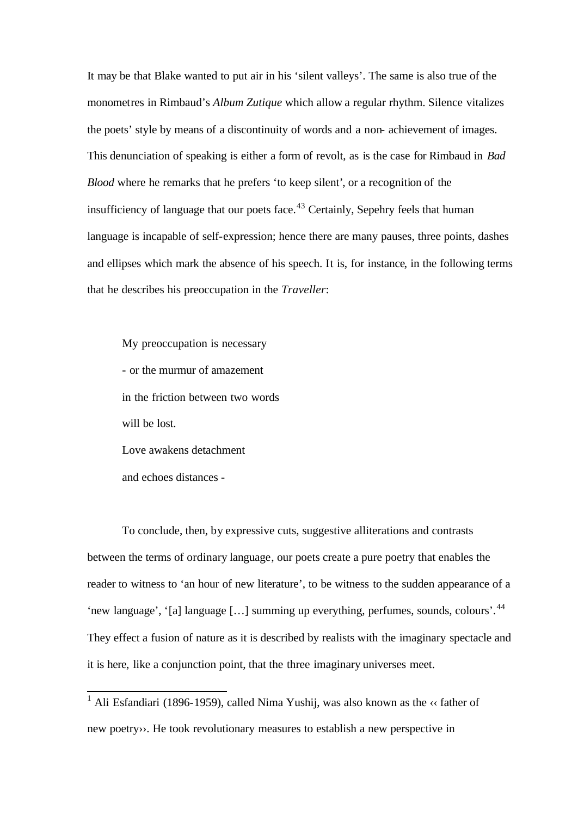It may be that Blake wanted to put air in his 'silent valleys'. The same is also true of the monometres in Rimbaud's *Album Zutique* which allow a regular rhythm. Silence vitalizes the poets' style by means of a discontinuity of words and a non- achievement of images. This denunciation of speaking is either a form of revolt, as is the case for Rimbaud in *Bad Blood* where he remarks that he prefers 'to keep silent', or a recognition of the insufficiency of language that our poets face.<sup>43</sup> Certainly, Sepehry feels that human language is incapable of self-expression; hence there are many pauses, three points, dashes and ellipses which mark the absence of his speech. It is, for instance, in the following terms that he describes his preoccupation in the *Traveller*:

My preoccupation is necessary - or the murmur of amazement in the friction between two words will be lost. Love awakens detachment and echoes distances -

l

To conclude, then, by expressive cuts, suggestive alliterations and contrasts between the terms of ordinary language, our poets create a pure poetry that enables the reader to witness to 'an hour of new literature', to be witness to the sudden appearance of a 'new language', '[a] language [...] summing up everything, perfumes, sounds, colours'.<sup>44</sup> They effect a fusion of nature as it is described by realists with the imaginary spectacle and it is here, like a conjunction point, that the three imaginary universes meet.

<sup>1</sup> Ali Esfandiari (1896-1959), called Nima Yushij, was also known as the  $\leftarrow$  father of new poetry››. He took revolutionary measures to establish a new perspective in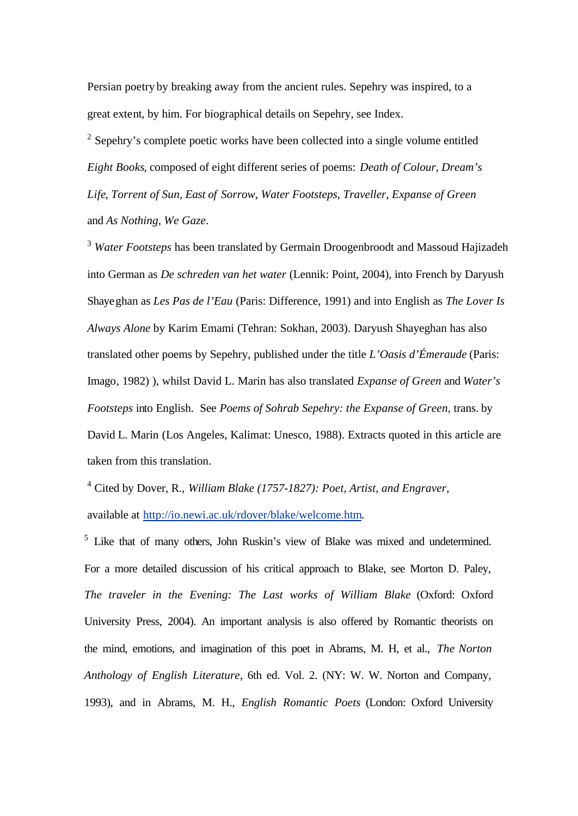Persian poetry by breaking away from the ancient rules. Sepehry was inspired, to a great extent, by him. For biographical details on Sepehry, see Index.

 $2$  Sepehry's complete poetic works have been collected into a single volume entitled *Eight Books*, composed of eight different series of poems: *Death of Colour, Dream's Life*, *Torrent of Sun*, *East of Sorrow*, *Water Footsteps*, *Traveller*, *Expanse of Green* and *As Nothing, We Gaze*.

<sup>3</sup> *Water Footsteps* has been translated by Germain Droogenbroodt and Massoud Hajizadeh into German as *De schreden van het water* (Lennik: Point, 2004), into French by Daryush Shayeghan as *Les Pas de l'Eau* (Paris: Difference, 1991) and into English as *The Lover Is Always Alone* by Karim Emami (Tehran: Sokhan, 2003). Daryush Shayeghan has also translated other poems by Sepehry, published under the title *L'Oasis d'Émeraude* (Paris: Imago, 1982) ), whilst David L. Marin has also translated *Expanse of Green* and *Water's Footsteps* into English. See *Poems of Sohrab Sepehry: the Expanse of Green,* trans. by David L. Marin (Los Angeles, Kalimat: Unesco, 1988). Extracts quoted in this article are taken from this translation.

4 Cited by Dover, R., *William Blake (1757-1827): Poet, Artist, and Engraver*, available at http://io.newi.ac.uk/rdover/blake/welcome.htm.

<sup>5</sup> Like that of many others, John Ruskin's view of Blake was mixed and undetermined. For a more detailed discussion of his critical approach to Blake, see Morton D. Paley, *The traveler in the Evening: The Last works of William Blake* (Oxford: Oxford University Press, 2004). An important analysis is also offered by Romantic theorists on the mind, emotions, and imagination of this poet in Abrams, M. H, et al., *The Norton Anthology of English Literature*, 6th ed. Vol. 2. (NY: W. W. Norton and Company, 1993), and in Abrams, M. H., *English Romantic Poets* (London: Oxford University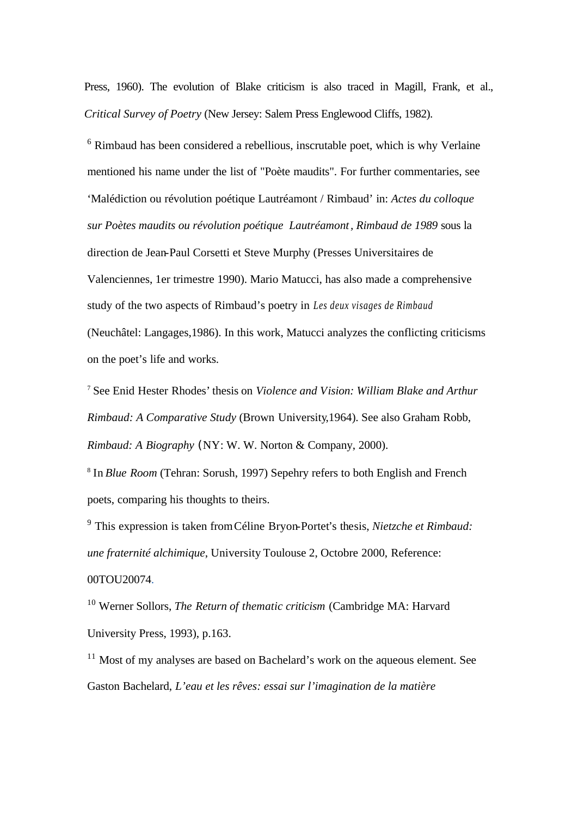Press, 1960). The evolution of Blake criticism is also traced in Magill, Frank, et al., *Critical Survey of Poetry* (New Jersey: Salem Press Englewood Cliffs, 1982).

 $6$  Rimbaud has been considered a rebellious, inscrutable poet, which is why Verlaine mentioned his name under the list of "Poète maudits". For further commentaries, see 'Malédiction ou révolution poétique Lautréamont / Rimbaud' in: *Actes du colloque sur Poètes maudits ou révolution poétique Lautréamont, Rimbaud de 1989* sous la direction de Jean-Paul Corsetti et Steve Murphy (Presses Universitaires de Valenciennes, 1er trimestre 1990). Mario Matucci, has also made a comprehensive study of the two aspects of Rimbaud's poetry in *Les deux visages de Rimbaud* (Neuchâtel: Langages,1986). In this work, Matucci analyzes the conflicting criticisms on the poet's life and works.

<sup>7</sup> See Enid Hester Rhodes' thesis on *Violence and Vision: William Blake and Arthur Rimbaud: A Comparative Study* (Brown University,1964). See also Graham Robb, *Rimbaud: A Biography* (NY: W. W. Norton & Company, 2000).

<sup>8</sup> In *Blue Room* (Tehran: Sorush, 1997) Sepehry refers to both English and French poets, comparing his thoughts to theirs.

9 This expression is taken fromCéline Bryon-Portet's thesis, *Nietzche et Rimbaud: une fraternité alchimique*, University Toulouse 2, Octobre 2000, Reference: 00TOU20074.

<sup>10</sup> Werner Sollors, *The Return of thematic criticism* (Cambridge MA: Harvard University Press, 1993), p.163.

 $11$  Most of my analyses are based on Bachelard's work on the aqueous element. See Gaston Bachelard, *L'eau et les rêves: essai sur l'imagination de la matière*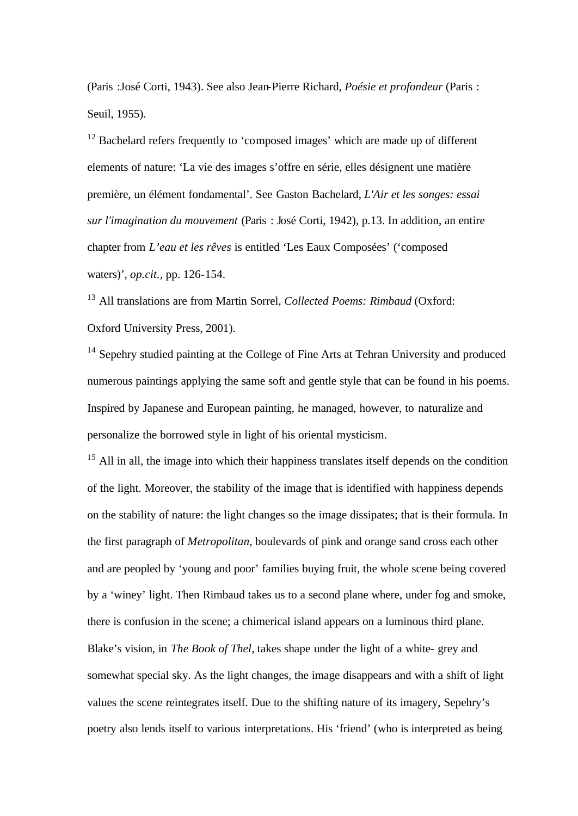(Paris :José Corti, 1943). See also Jean-Pierre Richard, *Poésie et profondeur* (Paris : Seuil, 1955).

<sup>12</sup> Bachelard refers frequently to 'composed images' which are made up of different elements of nature: 'La vie des images s'offre en série, elles désignent une matière première, un élément fondamental'. See Gaston Bachelard, *L'Air et les songes: essai sur l'imagination du mouvement* (Paris : José Corti, 1942), p.13. In addition, an entire chapter from *L'eau et les rêves* is entitled 'Les Eaux Composées' ('composed waters)', *op.cit.,* pp. 126-154.

<sup>13</sup> All translations are from Martin Sorrel, *Collected Poems: Rimbaud* (Oxford: Oxford University Press, 2001).

<sup>14</sup> Sepehry studied painting at the College of Fine Arts at Tehran University and produced numerous paintings applying the same soft and gentle style that can be found in his poems. Inspired by Japanese and European painting, he managed, however, to naturalize and personalize the borrowed style in light of his oriental mysticism.

<sup>15</sup> All in all, the image into which their happiness translates itself depends on the condition of the light. Moreover, the stability of the image that is identified with happiness depends on the stability of nature: the light changes so the image dissipates; that is their formula. In the first paragraph of *Metropolitan*, boulevards of pink and orange sand cross each other and are peopled by 'young and poor' families buying fruit, the whole scene being covered by a 'winey' light. Then Rimbaud takes us to a second plane where, under fog and smoke, there is confusion in the scene; a chimerical island appears on a luminous third plane. Blake's vision, in *The Book of Thel*, takes shape under the light of a white- grey and somewhat special sky. As the light changes, the image disappears and with a shift of light values the scene reintegrates itself. Due to the shifting nature of its imagery, Sepehry's poetry also lends itself to various interpretations. His 'friend' (who is interpreted as being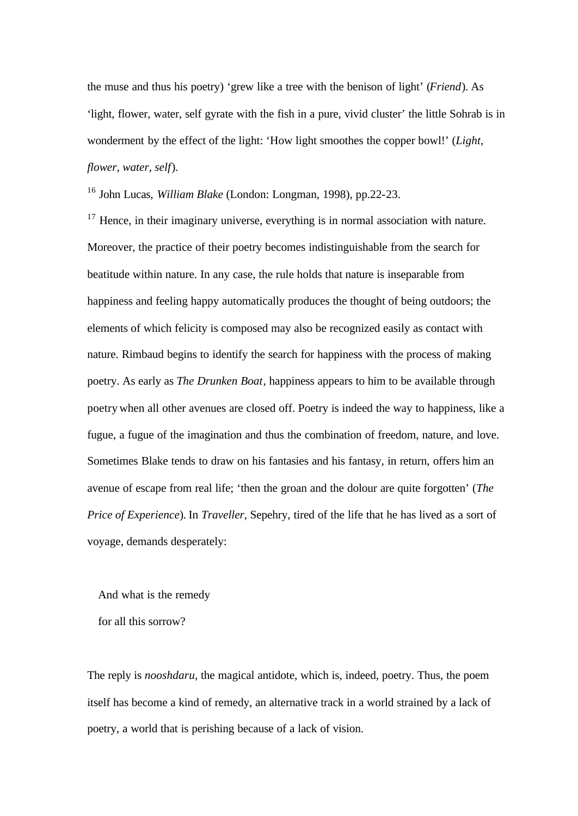the muse and thus his poetry) 'grew like a tree with the benison of light' (*Friend*). As 'light, flower, water, self gyrate with the fish in a pure, vivid cluster' the little Sohrab is in wonderment by the effect of the light: 'How light smoothes the copper bowl!' (*Light, flower, water, self*).

<sup>16</sup> John Lucas, *William Blake* (London: Longman, 1998), pp.22-23.

 $17$  Hence, in their imaginary universe, everything is in normal association with nature. Moreover, the practice of their poetry becomes indistinguishable from the search for beatitude within nature. In any case, the rule holds that nature is inseparable from happiness and feeling happy automatically produces the thought of being outdoors; the elements of which felicity is composed may also be recognized easily as contact with nature. Rimbaud begins to identify the search for happiness with the process of making poetry. As early as *The Drunken Boat*, happiness appears to him to be available through poetry when all other avenues are closed off. Poetry is indeed the way to happiness, like a fugue, a fugue of the imagination and thus the combination of freedom, nature, and love. Sometimes Blake tends to draw on his fantasies and his fantasy, in return, offers him an avenue of escape from real life; 'then the groan and the dolour are quite forgotten' (*The Price of Experience*). In *Traveller*, Sepehry, tired of the life that he has lived as a sort of voyage, demands desperately:

And what is the remedy

for all this sorrow?

The reply is *nooshdaru*, the magical antidote, which is, indeed, poetry. Thus, the poem itself has become a kind of remedy, an alternative track in a world strained by a lack of poetry, a world that is perishing because of a lack of vision.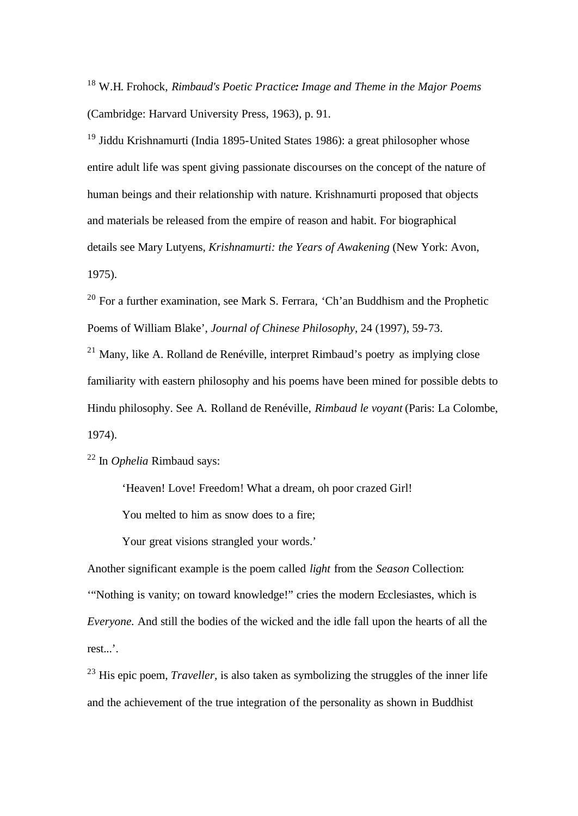<sup>18</sup> W.H. Frohock, *Rimbaud's Poetic Practice: Image and Theme in the Major Poems* (Cambridge: Harvard University Press, 1963), p. 91.

<sup>19</sup> Jiddu Krishnamurti (India 1895-United States 1986): a great philosopher whose entire adult life was spent giving passionate discourses on the concept of the nature of human beings and their relationship with nature. Krishnamurti proposed that objects and materials be released from the empire of reason and habit. For biographical details see Mary Lutyens, *Krishnamurti: the Years of Awakening* (New York: Avon, 1975).

<sup>20</sup> For a further examination, see Mark S. Ferrara*,* 'Ch'an Buddhism and the Prophetic Poems of William Blake', *Journal of Chinese Philosophy*, 24 (1997), 59-73.

<sup>21</sup> Many, like A. Rolland de Renéville, interpret Rimbaud's poetry as implying close familiarity with eastern philosophy and his poems have been mined for possible debts to Hindu philosophy. See A. Rolland de Renéville, *Rimbaud le voyant* (Paris: La Colombe, 1974).

<sup>22</sup> In *Ophelia* Rimbaud says:

'Heaven! Love! Freedom! What a dream, oh poor crazed Girl!

You melted to him as snow does to a fire;

Your great visions strangled your words.'

Another significant example is the poem called *light* from the *Season* Collection: '"Nothing is vanity; on toward knowledge!" cries the modern Ecclesiastes, which is *Everyone.* And still the bodies of the wicked and the idle fall upon the hearts of all the rest...'.

<sup>23</sup> His epic poem, *Traveller*, is also taken as symbolizing the struggles of the inner life and the achievement of the true integration of the personality as shown in Buddhist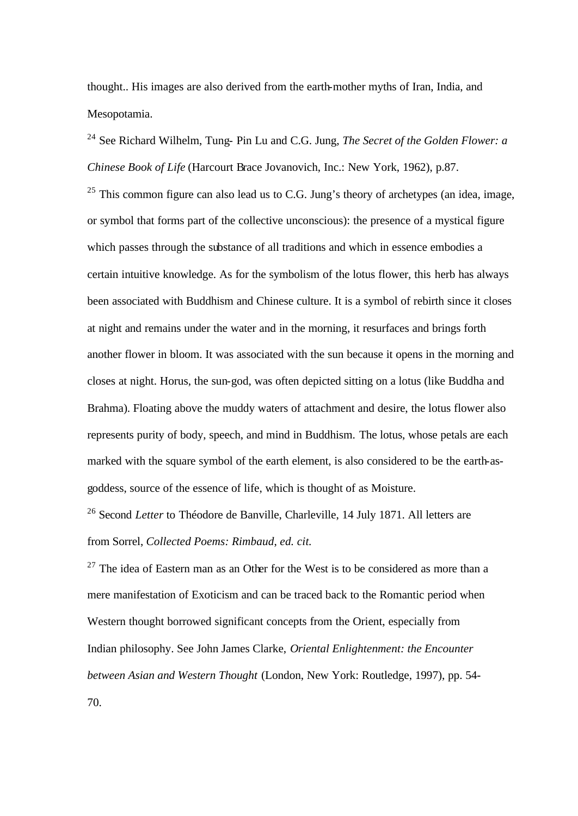thought.. His images are also derived from the earth-mother myths of Iran, India, and Mesopotamia.

<sup>24</sup> See Richard Wilhelm, Tung- Pin Lu and C.G. Jung, *The Secret of the Golden Flower: a Chinese Book of Life* (Harcourt Brace Jovanovich, Inc.: New York, 1962), p.87.

 $25$  This common figure can also lead us to C.G. Jung's theory of archetypes (an idea, image, or symbol that forms part of the collective unconscious): the presence of a mystical figure which passes through the substance of all traditions and which in essence embodies a certain intuitive knowledge. As for the symbolism of the lotus flower, this herb has always been associated with Buddhism and Chinese culture. It is a symbol of rebirth since it closes at night and remains under the water and in the morning, it resurfaces and brings forth another flower in bloom. It was associated with the sun because it opens in the morning and closes at night. Horus, the sun-god, was often depicted sitting on a lotus (like Buddha and Brahma). Floating above the muddy waters of attachment and desire, the lotus flower also represents purity of body, speech, and mind in Buddhism. The lotus, whose petals are each marked with the square symbol of the earth element, is also considered to be the earth-asgoddess, source of the essence of life, which is thought of as Moisture.

<sup>26</sup> Second *Letter* to Théodore de Banville, Charleville, 14 July 1871. All letters are from Sorrel, *Collected Poems: Rimbaud*, *ed. cit.*

 $27$  The idea of Eastern man as an Other for the West is to be considered as more than a mere manifestation of Exoticism and can be traced back to the Romantic period when Western thought borrowed significant concepts from the Orient, especially from Indian philosophy. See John James Clarke, *Oriental Enlightenment: the Encounter between Asian and Western Thought* (London, New York: Routledge, 1997), pp. 54- 70.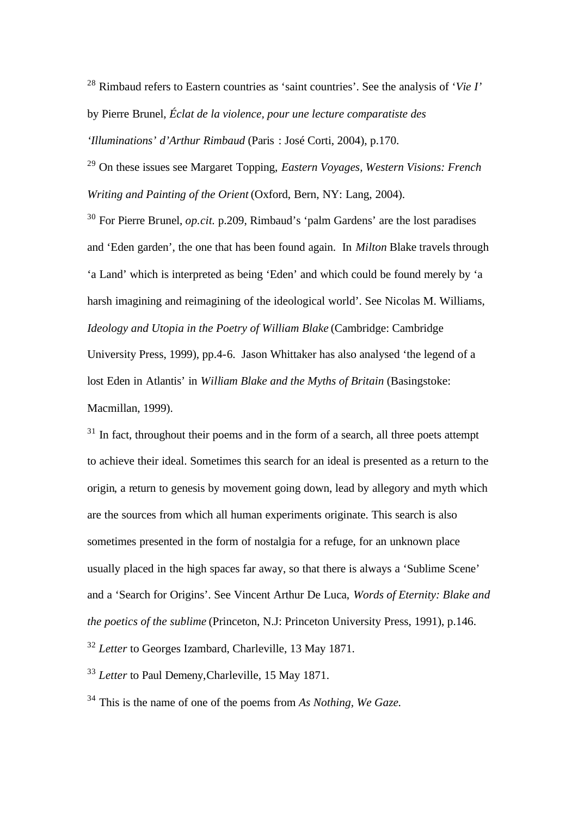<sup>28</sup> Rimbaud refers to Eastern countries as 'saint countries'. See the analysis of '*Vie I'*  by Pierre Brunel, *Éclat de la violence, pour une lecture comparatiste des 'Illuminations' d'Arthur Rimbaud* (Paris : José Corti, 2004), p.170.

<sup>29</sup> On these issues see Margaret Topping, *Eastern Voyages, Western Visions: French Writing and Painting of the Orient* (Oxford, Bern, NY: Lang, 2004).

<sup>30</sup> For Pierre Brunel, *op.cit.* p.209, Rimbaud's 'palm Gardens' are the lost paradises and 'Eden garden', the one that has been found again. In *Milton* Blake travels through 'a Land' which is interpreted as being 'Eden' and which could be found merely by 'a harsh imagining and reimagining of the ideological world'. See Nicolas M. Williams, *Ideology and Utopia in the Poetry of William Blake* (Cambridge: Cambridge University Press, 1999), pp.4-6. Jason Whittaker has also analysed 'the legend of a lost Eden in Atlantis' in *William Blake and the Myths of Britain* (Basingstoke: Macmillan, 1999).

<sup>31</sup> In fact, throughout their poems and in the form of a search, all three poets attempt to achieve their ideal. Sometimes this search for an ideal is presented as a return to the origin, a return to genesis by movement going down, lead by allegory and myth which are the sources from which all human experiments originate. This search is also sometimes presented in the form of nostalgia for a refuge, for an unknown place usually placed in the high spaces far away, so that there is always a 'Sublime Scene' and a 'Search for Origins'. See Vincent Arthur De Luca, *Words of Eternity: Blake and the poetics of the sublime* (Princeton, N.J: Princeton University Press, 1991), p.146. <sup>32</sup> *Letter* to Georges Izambard, Charleville, 13 May 1871.

<sup>33</sup> *Letter* to Paul Demeny,Charleville, 15 May 1871.

<sup>34</sup> This is the name of one of the poems from *As Nothing, We Gaze.*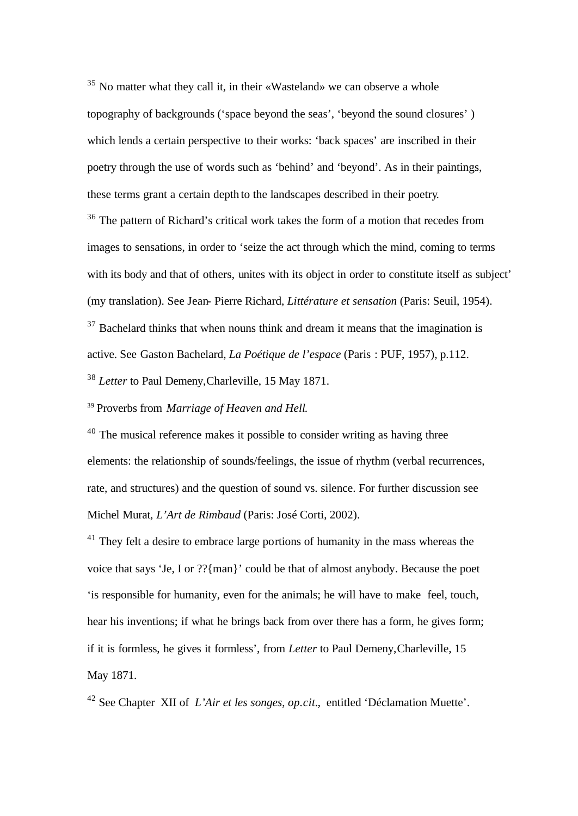$35$  No matter what they call it, in their «Wasteland» we can observe a whole topography of backgrounds ('space beyond the seas', 'beyond the sound closures' ) which lends a certain perspective to their works: 'back spaces' are inscribed in their poetry through the use of words such as 'behind' and 'beyond'. As in their paintings, these terms grant a certain depth to the landscapes described in their poetry.

<sup>36</sup> The pattern of Richard's critical work takes the form of a motion that recedes from images to sensations, in order to 'seize the act through which the mind, coming to terms with its body and that of others, unites with its object in order to constitute itself as subject' (my translation). See Jean- Pierre Richard, *Littérature et sensation* (Paris: Seuil, 1954).  $37$  Bachelard thinks that when nouns think and dream it means that the imagination is

active. See Gaston Bachelard, *La Poétique de l'espace* (Paris : PUF, 1957), p.112. <sup>38</sup> *Letter* to Paul Demeny,Charleville, 15 May 1871.

<sup>39</sup> Proverbs from *Marriage of Heaven and Hell*.

<sup>40</sup> The musical reference makes it possible to consider writing as having three elements: the relationship of sounds/feelings, the issue of rhythm (verbal recurrences, rate, and structures) and the question of sound vs. silence. For further discussion see Michel Murat, *L'Art de Rimbaud* (Paris: José Corti, 2002).

 $41$  They felt a desire to embrace large portions of humanity in the mass whereas the voice that says 'Je, I or ??{man}' could be that of almost anybody. Because the poet 'is responsible for humanity, even for the animals; he will have to make feel, touch, hear his inventions; if what he brings back from over there has a form, he gives form; if it is formless, he gives it formless', from *Letter* to Paul Demeny,Charleville, 15 May 1871.

<sup>42</sup> See Chapter XII of *L'Air et les songes*, *op.cit.*, entitled 'Déclamation Muette'.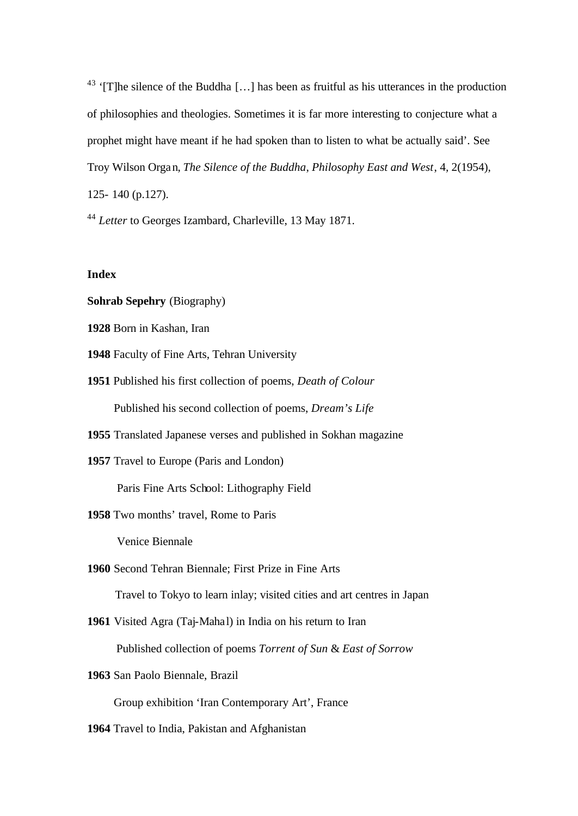<sup>43</sup> '[T]he silence of the Buddha [...] has been as fruitful as his utterances in the production of philosophies and theologies. Sometimes it is far more interesting to conjecture what a prophet might have meant if he had spoken than to listen to what be actually said'. See Troy Wilson Organ, *The Silence of the Buddha*, *Philosophy East and West*, 4*,* 2(1954), 125- 140 (p.127).

<sup>44</sup> *Letter* to Georges Izambard, Charleville, 13 May 1871.

### **Index**

- **Sohrab Sepehry** (Biography)
- **1928** Born in Kashan, Iran
- **1948** Faculty of Fine Arts, Tehran University
- **1951** Published his first collection of poems, *Death of Colour*

Published his second collection of poems, *Dream's Life*

- **1955** Translated Japanese verses and published in Sokhan magazine
- **1957** Travel to Europe (Paris and London)

Paris Fine Arts School: Lithography Field

**1958** Two months' travel, Rome to Paris

Venice Biennale

**1960** Second Tehran Biennale; First Prize in Fine Arts

Travel to Tokyo to learn inlay; visited cities and art centres in Japan

**1961** Visited Agra (Taj-Mahal) in India on his return to Iran

Published collection of poems *Torrent of Sun* & *East of Sorrow*

**1963** San Paolo Biennale, Brazil

Group exhibition 'Iran Contemporary Art', France

**1964** Travel to India, Pakistan and Afghanistan